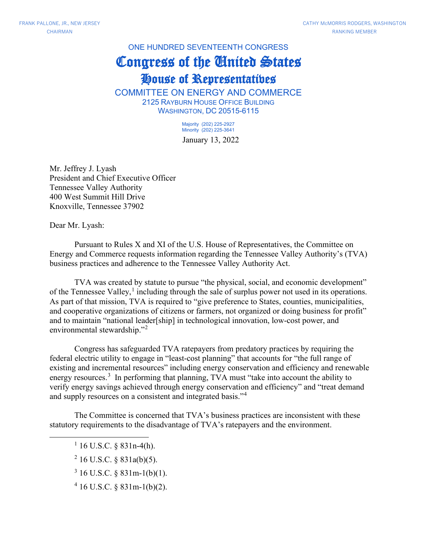ONE HUNDRED SEVENTEENTH CONGRESS Congress of the United States House of Representatives

COMMITTEE ON ENERGY AND COMMERCE 2125 RAYBURN HOUSE OFFICE BUILDING WASHINGTON, DC 20515-6115

> January 13, 2022 Majority (202) 225-2927 Minority (202) 225-3641

Mr. Jeffrey J. Lyash President and Chief Executive Officer Tennessee Valley Authority 400 West Summit Hill Drive Knoxville, Tennessee 37902

Dear Mr. Lyash:

Pursuant to Rules X and XI of the U.S. House of Representatives, the Committee on Energy and Commerce requests information regarding the Tennessee Valley Authority's (TVA) business practices and adherence to the Tennessee Valley Authority Act.

TVA was created by statute to pursue "the physical, social, and economic development" of the Tennessee Valley,<sup>[1](#page-0-0)</sup> including through the sale of surplus power not used in its operations. As part of that mission, TVA is required to "give preference to States, counties, municipalities, and cooperative organizations of citizens or farmers, not organized or doing business for profit" and to maintain "national leader[ship] in technological innovation, low-cost power, and environmental stewardship."<sup>[2](#page-0-1)</sup>

Congress has safeguarded TVA ratepayers from predatory practices by requiring the federal electric utility to engage in "least-cost planning" that accounts for "the full range of existing and incremental resources" including energy conservation and efficiency and renewable energy resources.<sup>[3](#page-0-2)</sup> In performing that planning, TVA must "take into account the ability to verify energy savings achieved through energy conservation and efficiency" and "treat demand and supply resources on a consistent and integrated basis."<sup>[4](#page-0-3)</sup>

<span id="page-0-1"></span><span id="page-0-0"></span>The Committee is concerned that TVA's business practices are inconsistent with these statutory requirements to the disadvantage of TVA's ratepayers and the environment.

 $1\overline{16}$  U.S.C. § 831n-4(h).

- $2$  16 U.S.C. § 831a(b)(5).
- <span id="page-0-2"></span> $3 \text{ 16 U.S.C. }$  § 831m-1(b)(1).
- <span id="page-0-3"></span><sup>4</sup> 16 U.S.C. § 831m-1(b)(2).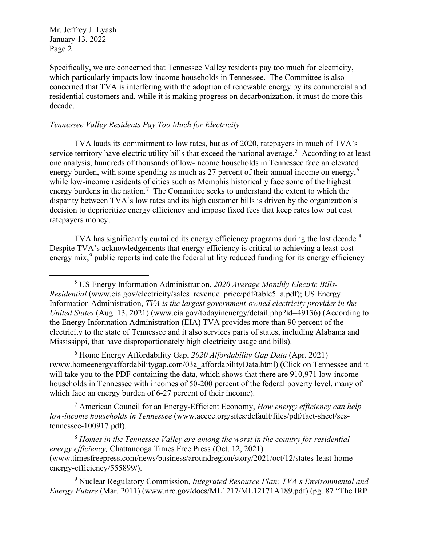Specifically, we are concerned that Tennessee Valley residents pay too much for electricity, which particularly impacts low-income households in Tennessee. The Committee is also concerned that TVA is interfering with the adoption of renewable energy by its commercial and residential customers and, while it is making progress on decarbonization, it must do more this decade.

## *Tennessee Valley Residents Pay Too Much for Electricity*

TVA lauds its commitment to low rates, but as of 2020, ratepayers in much of TVA's service territory have electric utility bills that exceed the national average.<sup>[5](#page-1-0)</sup> According to at least one analysis, hundreds of thousands of low-income households in Tennessee face an elevated energy burden, with some spending as much as 27 percent of their annual income on energy,<sup>[6](#page-1-1)</sup> while low-income residents of cities such as Memphis historically face some of the highest energy burdens in the nation.<sup>[7](#page-1-2)</sup> The Committee seeks to understand the extent to which the disparity between TVA's low rates and its high customer bills is driven by the organization's decision to deprioritize energy efficiency and impose fixed fees that keep rates low but cost ratepayers money.

TVA has significantly curtailed its energy efficiency programs during the last decade. $8$ Despite TVA's acknowledgements that energy efficiency is critical to achieving a least-cost energy mix,<sup>[9](#page-1-4)</sup> public reports indicate the federal utility reduced funding for its energy efficiency

<span id="page-1-1"></span><sup>6</sup> Home Energy Affordability Gap, *2020 Affordability Gap Data* (Apr. 2021) (www.homeenergyaffordabilitygap.com/03a\_affordabilityData.html) (Click on Tennessee and it will take you to the PDF containing the data, which shows that there are 910,971 low-income households in Tennessee with incomes of 50-200 percent of the federal poverty level, many of which face an energy burden of 6-27 percent of their income).

<span id="page-1-2"></span><sup>7</sup> American Council for an Energy-Efficient Economy, *How energy efficiency can help low-income households in Tennessee* (www.aceee.org/sites/default/files/pdf/fact-sheet/sestennessee-100917.pdf).

<span id="page-1-3"></span><sup>8</sup> *Homes in the Tennessee Valley are among the worst in the country for residential energy efficiency,* Chattanooga Times Free Press (Oct. 12, 2021) (www.timesfreepress.com/news/business/aroundregion/story/2021/oct/12/states-least-homeenergy-efficiency/555899/).

<span id="page-1-4"></span><sup>9</sup> Nuclear Regulatory Commission, *Integrated Resource Plan: TVA's Environmental and Energy Future* (Mar. 2011) (www.nrc.gov/docs/ML1217/ML12171A189.pdf) (pg. 87 "The IRP

<span id="page-1-0"></span><sup>5</sup> US Energy Information Administration, *2020 Average Monthly Electric Bills-Residential* [\(w](https://www.eia.gov/electricity/sales_revenue_price/pdf/table5_a.pdf)ww.eia.gov/electricity/sales revenue price/pdf/table5 a.pdf); US Energy Information Administration, *TVA is the largest government-owned electricity provider in the United States* (Aug. 13, 2021) (www.eia.gov/todayinenergy/detail.php?id=49136) (According to the Energy Information Administration (EIA) TVA provides more than 90 percent of the electricity to the state of Tennessee and it also services parts of states, including Alabama and Mississippi, that have disproportionately high electricity usage and bills).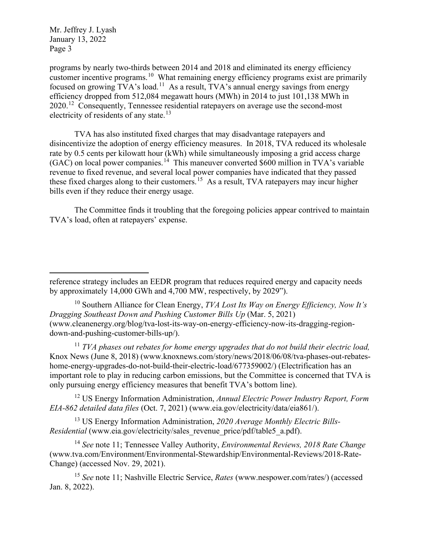programs by nearly two-thirds between 2014 and 2018 and eliminated its energy efficiency customer incentive programs.<sup>[10](#page-2-0)</sup> What remaining energy efficiency programs exist are primarily focused on growing TVA's load.<sup>[11](#page-2-1)</sup> As a result, TVA's annual energy savings from energy efficiency dropped from 512,084 megawatt hours (MWh) in 2014 to just 101,138 MWh in  $2020$ .<sup>[12](#page-2-2)</sup> Consequently, Tennessee residential ratepayers on average use the second-most electricity of residents of any state.<sup>[13](#page-2-3)</sup>

TVA has also instituted fixed charges that may disadvantage ratepayers and disincentivize the adoption of energy efficiency measures. In 2018, TVA reduced its wholesale rate by 0.5 cents per kilowatt hour (kWh) while simultaneously imposing a grid access charge  $(GAC)$  on local power companies.<sup>14</sup> This maneuver converted \$600 million in TVA's variable revenue to fixed revenue, and several local power companies have indicated that they passed these fixed charges along to their customers.[15](#page-2-5) As a result, TVA ratepayers may incur higher bills even if they reduce their energy usage.

The Committee finds it troubling that the foregoing policies appear contrived to maintain TVA's load, often at ratepayers' expense.

<span id="page-2-0"></span><sup>10</sup> Southern Alliance for Clean Energy, *TVA Lost Its Way on Energy Efficiency, Now It's Dragging Southeast Down and Pushing Customer Bills Up* (Mar. 5, 2021) (www.cleanenergy.org/blog/tva-lost-its-way-on-energy-efficiency-now-its-dragging-regiondown-and-pushing-customer-bills-up/).

<span id="page-2-1"></span><sup>11</sup> *TVA phases out rebates for home energy upgrades that do not build their electric load,* Knox News (June 8, 2018) (www.knoxnews.com/story/news/2018/06/08/tva-phases-out-rebateshome-energy-upgrades-do-not-build-their-electric-load/677359002/) (Electrification has an important role to play in reducing carbon emissions, but the Committee is concerned that TVA is only pursuing energy efficiency measures that benefit TVA's bottom line).

<span id="page-2-2"></span><sup>12</sup> US Energy Information Administration, *Annual Electric Power Industry Report, Form EIA-862 detailed data files* (Oct. 7, 2021) (www.eia.gov/electricity/data/eia861/).

<span id="page-2-3"></span><sup>13</sup> US Energy Information Administration, *2020 Average Monthly Electric Bills-Residential* (www.eia.gov/electricity/sales revenue price/pdf/table5 a.pdf).

<span id="page-2-4"></span><sup>14</sup> *See* note 11; Tennessee Valley Authority, *Environmental Reviews, 2018 Rate Change* (www.tva.com/Environment/Environmental-Stewardship/Environmental-Reviews/2018-Rate-Change) (accessed Nov. 29, 2021).

<span id="page-2-5"></span><sup>15</sup> *See* note 11; Nashville Electric Service, *Rates* (www.nespower.com/rates/) (accessed Jan. 8, 2022).

reference strategy includes an EEDR program that reduces required energy and capacity needs by approximately 14,000 GWh and 4,700 MW, respectively, by 2029").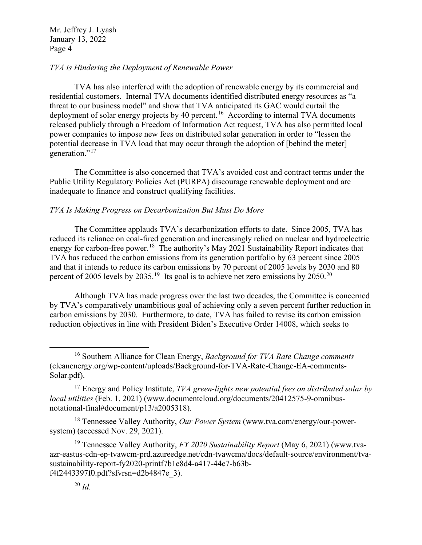## *TVA is Hindering the Deployment of Renewable Power*

TVA has also interfered with the adoption of renewable energy by its commercial and residential customers. Internal TVA documents identified distributed energy resources as "a threat to our business model" and show that TVA anticipated its GAC would curtail the deployment of solar energy projects by 40 percent.<sup>16</sup> According to internal TVA documents released publicly through a Freedom of Information Act request, TVA has also permitted local power companies to impose new fees on distributed solar generation in order to "lessen the potential decrease in TVA load that may occur through the adoption of [behind the meter] generation."<sup>17</sup>

The Committee is also concerned that TVA's avoided cost and contract terms under the Public Utility Regulatory Policies Act (PURPA) discourage renewable deployment and are inadequate to finance and construct qualifying facilities.

## *TVA Is Making Progress on Decarbonization But Must Do More*

The Committee applauds TVA's decarbonization efforts to date. Since 2005, TVA has reduced its reliance on coal-fired generation and increasingly relied on nuclear and hydroelectric energy for carbon-free power.<sup>18</sup> The authority's May 2021 Sustainability Report indicates that TVA has reduced the carbon emissions from its generation portfolio by 63 percent since 2005 and that it intends to reduce its carbon emissions by 70 percent of 2005 levels by 2030 and 80 percent of [20](#page-3-4)05 levels by 2035.<sup>19</sup> Its goal is to achieve net zero emissions by 2050.<sup>20</sup>

Although TVA has made progress over the last two decades, the Committee is concerned by TVA's comparatively unambitious goal of achieving only a seven percent further reduction in carbon emissions by 2030. Furthermore, to date, TVA has failed to revise its carbon emission reduction objectives in line with President Biden's Executive Order 14008, which seeks to

<span id="page-3-2"></span><sup>18</sup> Tennessee Valley Authority, *Our Power System* (www.tva.com/energy/our-powersystem) (accessed Nov. 29, 2021).

<span id="page-3-4"></span><span id="page-3-3"></span><sup>19</sup> Tennessee Valley Authority, *FY 2020 Sustainability Report* (May 6, 2021) (www.tvaazr-eastus-cdn-ep-tvawcm-prd.azureedge.net/cdn-tvawcma/docs/default-source/environment/tvasustainability-report-fy2020-printf7b1e8d4-a417-44e7-b63bf4f2443397f0.pdf?sfvrsn=d2b4847e\_3).

<span id="page-3-0"></span><sup>16</sup> Southern Alliance for Clean Energy, *Background for TVA Rate Change comments*  (cleanenergy.org/wp-content/uploads/Background-for-TVA-Rate-Change-EA-comments-Solar.pdf).

<span id="page-3-1"></span><sup>17</sup> Energy and Policy Institute, *TVA green-lights new potential fees on distributed solar by local utilities* (Feb. 1, 2021) (www.documentcloud.org/documents/20412575-9-omnibusnotational-final#document/p13/a2005318).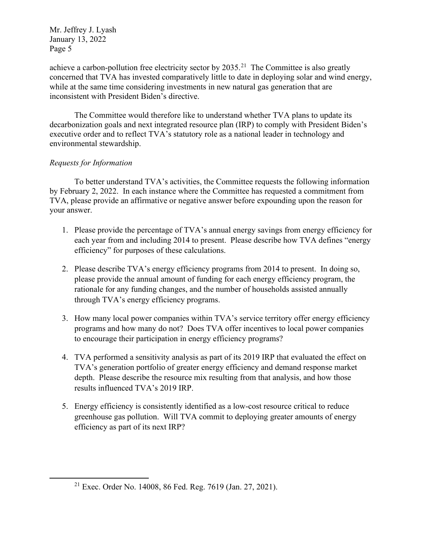achieve a carbon-pollution free electricity sector by  $2035.<sup>21</sup>$  The Committee is also greatly concerned that TVA has invested comparatively little to date in deploying solar and wind energy, while at the same time considering investments in new natural gas generation that are inconsistent with President Biden's directive.

The Committee would therefore like to understand whether TVA plans to update its decarbonization goals and next integrated resource plan (IRP) to comply with President Biden's executive order and to reflect TVA's statutory role as a national leader in technology and environmental stewardship.

## *Requests for Information*

To better understand TVA's activities, the Committee requests the following information by February 2, 2022. In each instance where the Committee has requested a commitment from TVA, please provide an affirmative or negative answer before expounding upon the reason for your answer.

- 1. Please provide the percentage of TVA's annual energy savings from energy efficiency for each year from and including 2014 to present. Please describe how TVA defines "energy efficiency" for purposes of these calculations.
- 2. Please describe TVA's energy efficiency programs from 2014 to present. In doing so, please provide the annual amount of funding for each energy efficiency program, the rationale for any funding changes, and the number of households assisted annually through TVA's energy efficiency programs.
- 3. How many local power companies within TVA's service territory offer energy efficiency programs and how many do not? Does TVA offer incentives to local power companies to encourage their participation in energy efficiency programs?
- 4. TVA performed a sensitivity analysis as part of its 2019 IRP that evaluated the effect on TVA's generation portfolio of greater energy efficiency and demand response market depth. Please describe the resource mix resulting from that analysis, and how those results influenced TVA's 2019 IRP.
- 5. Energy efficiency is consistently identified as a low-cost resource critical to reduce greenhouse gas pollution. Will TVA commit to deploying greater amounts of energy efficiency as part of its next IRP?

<span id="page-4-0"></span><sup>21</sup> Exec. Order No. 14008, 86 Fed. Reg. 7619 (Jan. 27, 2021).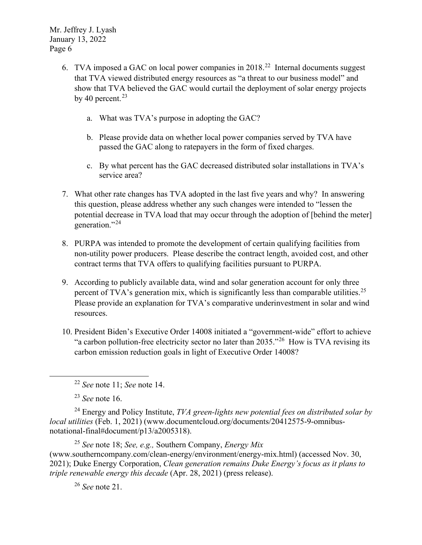- 6. TVA imposed a GAC on local power companies in  $2018<sup>22</sup>$  $2018<sup>22</sup>$  $2018<sup>22</sup>$  Internal documents suggest that TVA viewed distributed energy resources as "a threat to our business model" and show that TVA believed the GAC would curtail the deployment of solar energy projects by 40 percent. $23$ 
	- a. What was TVA's purpose in adopting the GAC?
	- b. Please provide data on whether local power companies served by TVA have passed the GAC along to ratepayers in the form of fixed charges.
	- c. By what percent has the GAC decreased distributed solar installations in TVA's service area?
- 7. What other rate changes has TVA adopted in the last five years and why? In answering this question, please address whether any such changes were intended to "lessen the potential decrease in TVA load that may occur through the adoption of [behind the meter] generation."<sup>[24](#page-5-2)</sup>
- 8. PURPA was intended to promote the development of certain qualifying facilities from non-utility power producers. Please describe the contract length, avoided cost, and other contract terms that TVA offers to qualifying facilities pursuant to PURPA.
- 9. According to publicly available data, wind and solar generation account for only three percent of TVA's generation mix, which is significantly less than comparable utilities.<sup>[25](#page-5-3)</sup> Please provide an explanation for TVA's comparative underinvestment in solar and wind resources.
- 10. President Biden's Executive Order 14008 initiated a "government-wide" effort to achieve "a carbon pollution-free electricity sector no later than  $2035.^{0.26}$  How is TVA revising its carbon emission reduction goals in light of Executive Order 14008?

<span id="page-5-2"></span><span id="page-5-1"></span><span id="page-5-0"></span><sup>24</sup> Energy and Policy Institute, *TVA green-lights new potential fees on distributed solar by local utilities* (Feb. 1, 2021) (www.documentcloud.org/documents/20412575-9-omnibusnotational-final#document/p13/a2005318).

<span id="page-5-4"></span><span id="page-5-3"></span><sup>25</sup> *See* note 18; *See, e.g.,* Southern Company, *Energy Mix*  (www.southerncompany.com/clean-energy/environment/energy-mix.html) (accessed Nov. 30, 2021); Duke Energy Corporation, *Clean generation remains Duke Energy's focus as it plans to triple renewable energy this decade* (Apr. 28, 2021) (press release).

<sup>26</sup> *See* note 21.

<sup>22</sup> *See* note 11; *See* note 14.

<sup>23</sup> *See* note 16.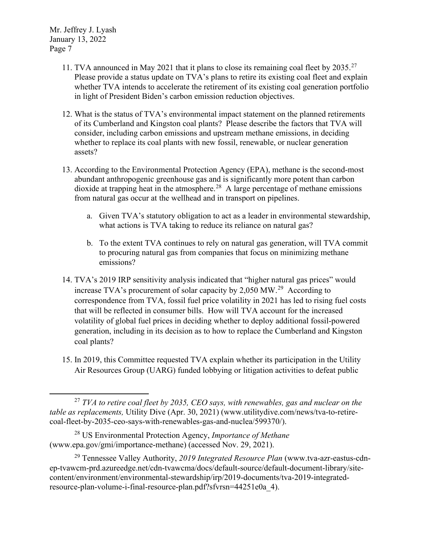- 11. TVA announced in May 2021 that it plans to close its remaining coal fleet by 2035.<sup>[27](#page-6-0)</sup> Please provide a status update on TVA's plans to retire its existing coal fleet and explain whether TVA intends to accelerate the retirement of its existing coal generation portfolio in light of President Biden's carbon emission reduction objectives.
- 12. What is the status of TVA's environmental impact statement on the planned retirements of its Cumberland and Kingston coal plants? Please describe the factors that TVA will consider, including carbon emissions and upstream methane emissions, in deciding whether to replace its coal plants with new fossil, renewable, or nuclear generation assets?
- 13. According to the Environmental Protection Agency (EPA), methane is the second-most abundant anthropogenic greenhouse gas and is significantly more potent than carbon dioxide at trapping heat in the atmosphere.<sup>28</sup> A large percentage of methane emissions from natural gas occur at the wellhead and in transport on pipelines.
	- a. Given TVA's statutory obligation to act as a leader in environmental stewardship, what actions is TVA taking to reduce its reliance on natural gas?
	- b. To the extent TVA continues to rely on natural gas generation, will TVA commit to procuring natural gas from companies that focus on minimizing methane emissions?
- 14. TVA's 2019 IRP sensitivity analysis indicated that "higher natural gas prices" would increase TVA's procurement of solar capacity by 2,050 MW.[29](#page-6-2) According to correspondence from TVA, fossil fuel price volatility in 2021 has led to rising fuel costs that will be reflected in consumer bills. How will TVA account for the increased volatility of global fuel prices in deciding whether to deploy additional fossil-powered generation, including in its decision as to how to replace the Cumberland and Kingston coal plants?
- 15. In 2019, this Committee requested TVA explain whether its participation in the Utility Air Resources Group (UARG) funded lobbying or litigation activities to defeat public

<span id="page-6-0"></span><sup>27</sup> *TVA to retire coal fleet by 2035, CEO says, with renewables, gas and nuclear on the table as replacements,* Utility Dive (Apr. 30, 2021) (www.utilitydive.com/news/tva-to-retirecoal-fleet-by-2035-ceo-says-with-renewables-gas-and-nuclea/599370/).

<span id="page-6-1"></span><sup>28</sup> US Environmental Protection Agency, *Importance of Methane*  (www.epa.gov/gmi/importance-methane) (accessed Nov. 29, 2021).

<span id="page-6-2"></span><sup>29</sup> Tennessee Valley Authority, *2019 Integrated Resource Plan* (www.tva-azr-eastus-cdnep-tvawcm-prd.azureedge.net/cdn-tvawcma/docs/default-source/default-document-library/sitecontent/environment/environmental-stewardship/irp/2019-documents/tva-2019-integratedresource-plan-volume-i-final-resource-plan.pdf?sfvrsn=44251e0a\_4).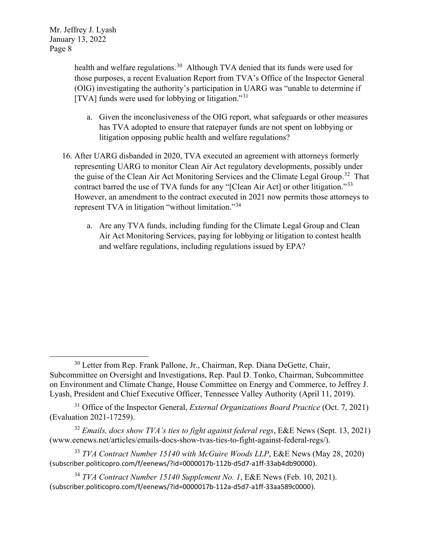> health and welfare regulations.<sup>30</sup> Although TVA denied that its funds were used for those purposes, a recent Evaluation Report from TVA's Office of the Inspector General (OIG) investigating the authority's participation in UARG was "unable to determine if [TVA] funds were used for lobbying or litigation."[31](#page-7-1)

- a. Given the inconclusiveness of the OIG report, what safeguards or other measures has TVA adopted to ensure that ratepayer funds are not spent on lobbying or litigation opposing public health and welfare regulations?
- 16. After UARG disbanded in 2020, TVA executed an agreement with attorneys formerly representing UARG to monitor Clean Air Act regulatory developments, possibly under the guise of the Clean Air Act Monitoring Services and the Climate Legal Group.<sup>32</sup> That contract barred the use of TVA funds for any "[Clean Air Act] or other litigation."[33](#page-7-3) However, an amendment to the contract executed in 2021 now permits those attorneys to represent TVA in litigation "without limitation."<sup>[34](#page-7-4)</sup>
	- a. Are any TVA funds, including funding for the Climate Legal Group and Clean Air Act Monitoring Services, paying for lobbying or litigation to contest health and welfare regulations, including regulations issued by EPA?

<span id="page-7-0"></span><sup>&</sup>lt;sup>30</sup> Letter from Rep. Frank Pallone, Jr., Chairman, Rep. Diana DeGette, Chair, Subcommittee on Oversight and Investigations, Rep. Paul D. Tonko, Chairman, Subcommittee on Environment and Climate Change, House Committee on Energy and Commerce, to Jeffrey J. Lyash, President and Chief Executive Officer, Tennessee Valley Authority (April 11, 2019).

<span id="page-7-1"></span><sup>31</sup> Office of the Inspector General, *External Organizations Board Practice* (Oct. 7, 2021) (Evaluation 2021-17259).

<span id="page-7-2"></span><sup>32</sup> *Emails, docs show TVA's ties to fight against federal regs*, E&E News (Sept. 13, 2021) (www.eenews.net/articles/emails-docs-show-tvas-ties-to-fight-against-federal-regs/).

<span id="page-7-3"></span><sup>33</sup> *TVA Contract Number 15140 with McGuire Woods LLP*, E&E News (May 28, 2020) (subscriber.politicopro.com/f/eenews/?id=0000017b-112b-d5d7-a1ff-33ab4db90000).

<span id="page-7-4"></span><sup>34</sup> *TVA Contract Number 15140 Supplement No. 1*, E&E News (Feb. 10, 2021). (subscriber.politicopro.com/f/eenews/?id=0000017b-112a-d5d7-a1ff-33aa589c0000).